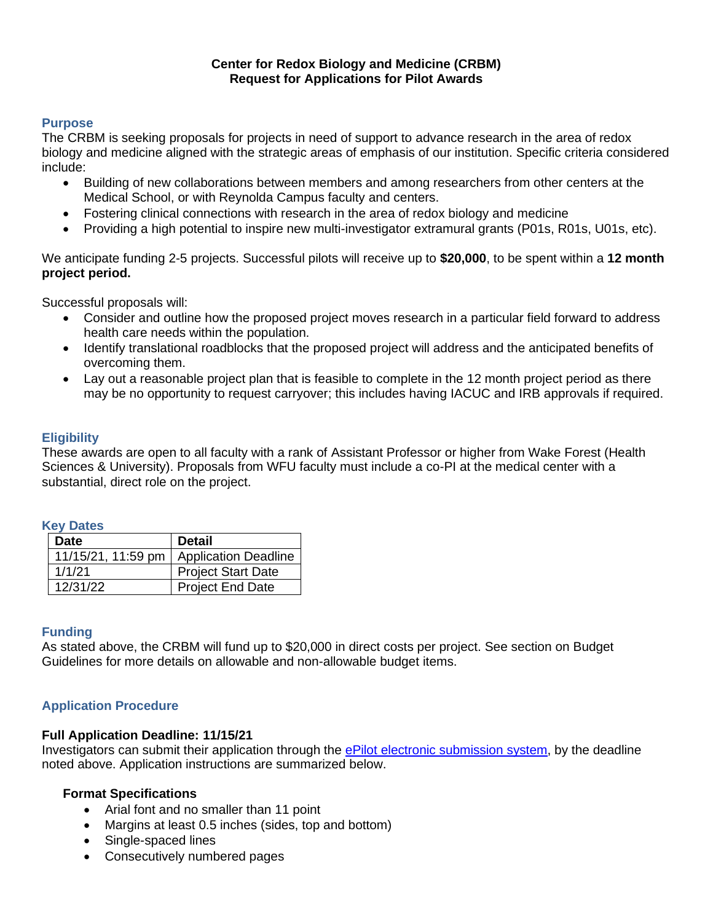#### **Center for Redox Biology and Medicine (CRBM) Request for Applications for Pilot Awards**

#### **Purpose**

The CRBM is seeking proposals for projects in need of support to advance research in the area of redox biology and medicine aligned with the strategic areas of emphasis of our institution. Specific criteria considered include:

- Building of new collaborations between members and among researchers from other centers at the Medical School, or with Reynolda Campus faculty and centers.
- Fostering clinical connections with research in the area of redox biology and medicine
- Providing a high potential to inspire new multi-investigator extramural grants (P01s, R01s, U01s, etc).

We anticipate funding 2-5 projects. Successful pilots will receive up to **\$20,000**, to be spent within a **12 month project period.**

Successful proposals will:

- Consider and outline how the proposed project moves research in a particular field forward to address health care needs within the population.
- Identify translational roadblocks that the proposed project will address and the anticipated benefits of overcoming them.
- Lay out a reasonable project plan that is feasible to complete in the 12 month project period as there may be no opportunity to request carryover; this includes having IACUC and IRB approvals if required.

#### **Eligibility**

These awards are open to all faculty with a rank of Assistant Professor or higher from Wake Forest (Health Sciences & University). Proposals from WFU faculty must include a co-PI at the medical center with a substantial, direct role on the project.

#### **Key Dates**

| <b>Date</b> | <b>Detail</b>                             |  |  |
|-------------|-------------------------------------------|--|--|
|             | 11/15/21, 11:59 pm   Application Deadline |  |  |
| 1/1/21      | <b>Project Start Date</b>                 |  |  |
| 12/31/22    | <b>Project End Date</b>                   |  |  |

#### **Funding**

As stated above, the CRBM will fund up to \$20,000 in direct costs per project. See section on Budget Guidelines for more details on allowable and non-allowable budget items.

### **Application Procedure**

#### **Full Application Deadline: 11/15/21**

Investigators can submit their application through the [ePilot electronic submission system,](https://redcap.wakehealth.edu/redcap/surveys/?s=X843RDMYPETR3EEH) by the deadline noted above. Application instructions are summarized below.

#### **Format Specifications**

- Arial font and no smaller than 11 point
- Margins at least 0.5 inches (sides, top and bottom)
- Single-spaced lines
- Consecutively numbered pages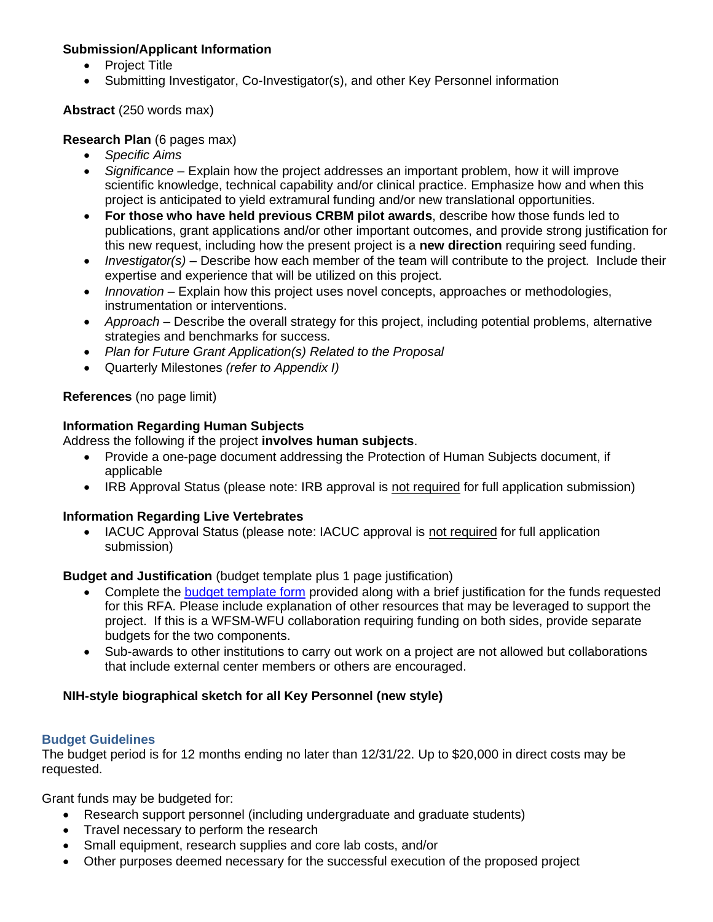# **Submission/Applicant Information**

- Project Title
- Submitting Investigator, Co-Investigator(s), and other Key Personnel information

# **Abstract** (250 words max)

### **Research Plan** (6 pages max)

- *Specific Aims*
- *Significance* Explain how the project addresses an important problem, how it will improve scientific knowledge, technical capability and/or clinical practice. Emphasize how and when this project is anticipated to yield extramural funding and/or new translational opportunities.
- **For those who have held previous CRBM pilot awards**, describe how those funds led to publications, grant applications and/or other important outcomes, and provide strong justification for this new request, including how the present project is a **new direction** requiring seed funding.
- *Investigator(s)* Describe how each member of the team will contribute to the project. Include their expertise and experience that will be utilized on this project.
- *Innovation* Explain how this project uses novel concepts, approaches or methodologies, instrumentation or interventions.
- *Approach* Describe the overall strategy for this project, including potential problems, alternative strategies and benchmarks for success.
- *Plan for Future Grant Application(s) Related to the Proposal*
- Quarterly Milestones *(refer to Appendix I)*

# **References** (no page limit)

# **Information Regarding Human Subjects**

Address the following if the project **involves human subjects**.

- Provide a one-page document addressing the Protection of Human Subjects document, if applicable
- IRB Approval Status (please note: IRB approval is not required for full application submission)

### **Information Regarding Live Vertebrates**

• IACUC Approval Status (please note: IACUC approval is not required for full application submission)

### **Budget and Justification** (budget template plus 1 page justification)

- Complete the [budget template form](https://wakehealth.sharepoint.com/:x:/r/teams/CTSIWebCollection/Shared%20Documents/CSTI-Public/CTSI%20Pilot%20Budget%20Template.xlsx) provided along with a brief justification for the funds requested for this RFA. Please include explanation of other resources that may be leveraged to support the project. If this is a WFSM-WFU collaboration requiring funding on both sides, provide separate budgets for the two components.
- Sub-awards to other institutions to carry out work on a project are not allowed but collaborations that include external center members or others are encouraged.

# **NIH-style biographical sketch for all Key Personnel (new style)**

### **Budget Guidelines**

The budget period is for 12 months ending no later than 12/31/22. Up to \$20,000 in direct costs may be requested.

Grant funds may be budgeted for:

- Research support personnel (including undergraduate and graduate students)
- Travel necessary to perform the research
- Small equipment, research supplies and core lab costs, and/or
- Other purposes deemed necessary for the successful execution of the proposed project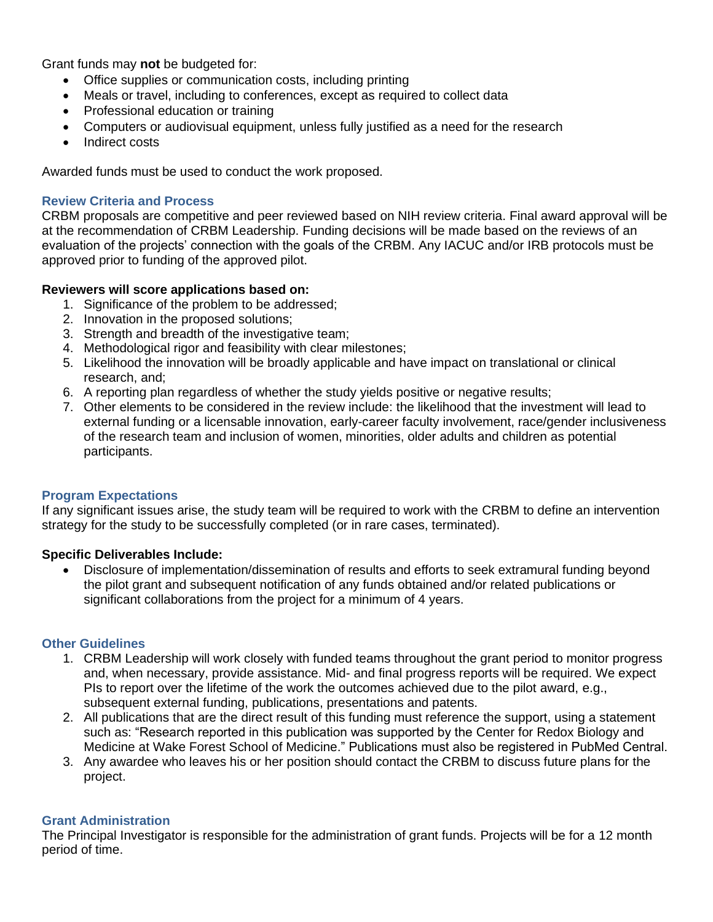Grant funds may **not** be budgeted for:

- Office supplies or communication costs, including printing
- Meals or travel, including to conferences, except as required to collect data
- Professional education or training
- Computers or audiovisual equipment, unless fully justified as a need for the research
- Indirect costs

Awarded funds must be used to conduct the work proposed.

#### **Review Criteria and Process**

CRBM proposals are competitive and peer reviewed based on NIH review criteria. Final award approval will be at the recommendation of CRBM Leadership. Funding decisions will be made based on the reviews of an evaluation of the projects' connection with the goals of the CRBM. Any IACUC and/or IRB protocols must be approved prior to funding of the approved pilot.

### **Reviewers will score applications based on:**

- 1. Significance of the problem to be addressed;
- 2. Innovation in the proposed solutions;
- 3. Strength and breadth of the investigative team;
- 4. Methodological rigor and feasibility with clear milestones;
- 5. Likelihood the innovation will be broadly applicable and have impact on translational or clinical research, and;
- 6. A reporting plan regardless of whether the study yields positive or negative results;
- 7. Other elements to be considered in the review include: the likelihood that the investment will lead to external funding or a licensable innovation, early-career faculty involvement, race/gender inclusiveness of the research team and inclusion of women, minorities, older adults and children as potential participants.

#### **Program Expectations**

If any significant issues arise, the study team will be required to work with the CRBM to define an intervention strategy for the study to be successfully completed (or in rare cases, terminated).

### **Specific Deliverables Include:**

• Disclosure of implementation/dissemination of results and efforts to seek extramural funding beyond the pilot grant and subsequent notification of any funds obtained and/or related publications or significant collaborations from the project for a minimum of 4 years.

#### **Other Guidelines**

- 1. CRBM Leadership will work closely with funded teams throughout the grant period to monitor progress and, when necessary, provide assistance. Mid- and final progress reports will be required. We expect PIs to report over the lifetime of the work the outcomes achieved due to the pilot award, e.g., subsequent external funding, publications, presentations and patents.
- 2. All publications that are the direct result of this funding must reference the support, using a statement such as: "Research reported in this publication was supported by the Center for Redox Biology and Medicine at Wake Forest School of Medicine." Publications must also be registered in PubMed Central.
- 3. Any awardee who leaves his or her position should contact the CRBM to discuss future plans for the project.

### **Grant Administration**

The Principal Investigator is responsible for the administration of grant funds. Projects will be for a 12 month period of time.